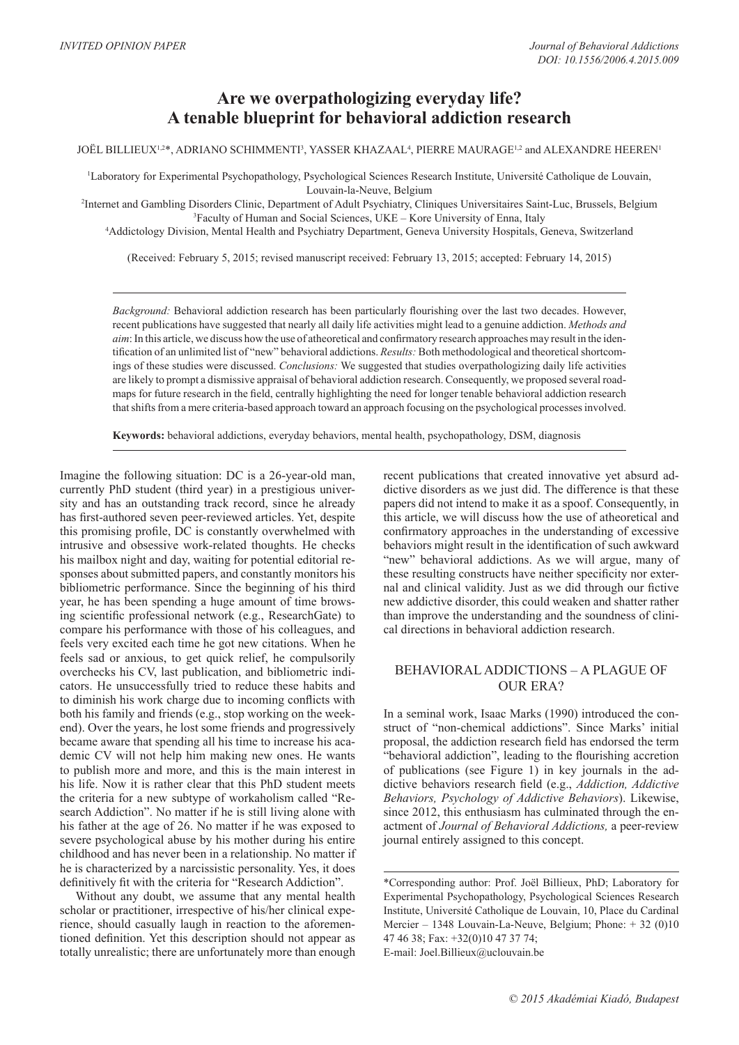# **Are we overpathologizing everyday life? A tenable blueprint for behavioral addiction research**

 ${\rm JO\check{E}L}$  BILLIEUX $^{1,2*},$  ADRIANO SCHIMMENTI $^3,$  YASSER KHAZAAL $^4,$  PIERRE MAURAGE $^{1,2}$  and ALEXANDRE HEEREN $^1$ 

1 Laboratory for Experimental Psychopathology, Psychological Sciences Research Institute, Université Catholique de Louvain, Louvain-la-Neuve, Belgium

2 Internet and Gambling Disorders Clinic, Department of Adult Psychiatry, Cliniques Universitaires Saint-Luc, Brussels, Belgium 3 Faculty of Human and Social Sciences, UKE – Kore University of Enna, Italy

4 Addictology Division, Mental Health and Psychiatry Department, Geneva University Hospitals, Geneva, Switzerland

(Received: February 5, 2015; revised manuscript received: February 13, 2015; accepted: February 14, 2015)

*Background:* Behavioral addiction research has been particularly flourishing over the last two decades. However, recent publications have suggested that nearly all daily life activities might lead to a genuine addiction. *Methods and aim*: In this article, we discuss how the use of atheoretical and confirmatory research approaches may result in the identification of an unlimited list of "new" behavioral addictions. *Results:* Both methodological and theoretical shortcomings of these studies were discussed. *Conclusions:* We suggested that studies overpathologizing daily life activities are likely to prompt a dismissive appraisal of behavioral addiction research. Consequently, we proposed several roadmaps for future research in the field, centrally highlighting the need for longer tenable behavioral addiction research that shifts from a mere criteria-based approach toward an approach focusing on the psychological processes involved.

**Keywords:** behavioral addictions, everyday behaviors, mental health, psychopathology, DSM, diagnosis

Imagine the following situation: DC is a 26-year-old man, currently PhD student (third year) in a prestigious university and has an outstanding track record, since he already has first-authored seven peer-reviewed articles. Yet, despite this promising profile, DC is constantly overwhelmed with intrusive and obsessive work-related thoughts. He checks his mailbox night and day, waiting for potential editorial responses about submitted papers, and constantly monitors his bibliometric performance. Since the beginning of his third year, he has been spending a huge amount of time browsing scientific professional network (e.g., ResearchGate) to compare his performance with those of his colleagues, and feels very excited each time he got new citations. When he feels sad or anxious, to get quick relief, he compulsorily overchecks his CV, last publication, and bibliometric indicators. He unsuccessfully tried to reduce these habits and to diminish his work charge due to incoming conflicts with both his family and friends (e.g., stop working on the weekend). Over the years, he lost some friends and progressively became aware that spending all his time to increase his academic CV will not help him making new ones. He wants to publish more and more, and this is the main interest in his life. Now it is rather clear that this PhD student meets the criteria for a new subtype of workaholism called "Research Addiction". No matter if he is still living alone with his father at the age of 26. No matter if he was exposed to severe psychological abuse by his mother during his entire childhood and has never been in a relationship. No matter if he is characterized by a narcissistic personality. Yes, it does definitively fit with the criteria for "Research Addiction".

Without any doubt, we assume that any mental health scholar or practitioner, irrespective of his/her clinical experience, should casually laugh in reaction to the aforementioned definition. Yet this description should not appear as totally unrealistic; there are unfortunately more than enough recent publications that created innovative yet absurd addictive disorders as we just did. The difference is that these papers did not intend to make it as a spoof. Consequently, in this article, we will discuss how the use of atheoretical and confirmatory approaches in the understanding of excessive behaviors might result in the identification of such awkward "new" behavioral addictions. As we will argue, many of these resulting constructs have neither specificity nor external and clinical validity. Just as we did through our fictive new addictive disorder, this could weaken and shatter rather than improve the understanding and the soundness of clinical directions in behavioral addiction research.

#### BEHAVIORAL ADDICTIONS – A PLAGUE OF OUR ERA?

In a seminal work, Isaac Marks (1990) introduced the construct of "non-chemical addictions". Since Marks' initial proposal, the addiction research field has endorsed the term "behavioral addiction", leading to the flourishing accretion of publications (see Figure 1) in key journals in the addictive behaviors research field (e.g., *Addiction, Addictive Behaviors, Psychology of Addictive Behaviors*). Likewise, since 2012, this enthusiasm has culminated through the enactment of *Journal of Behavioral Addictions,* a peer-review journal entirely assigned to this concept.

<sup>\*</sup>Corresponding author: Prof. Joël Billieux, PhD; Laboratory for Experimental Psychopathology, Psychological Sciences Research Institute, Université Catholique de Louvain, 10, Place du Cardinal Mercier – 1348 Louvain-La-Neuve, Belgium; Phone: + 32 (0)10 47 46 38; Fax: +32(0)10 47 37 74; E-mail: Joel.Billieux@uclouvain.be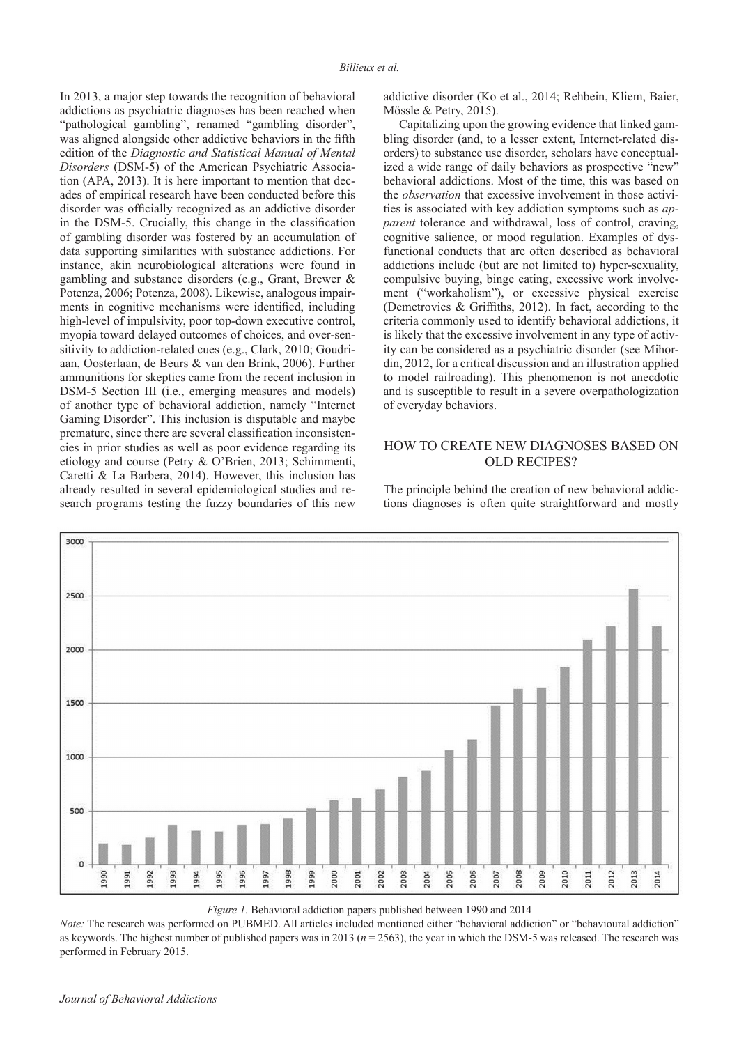In 2013, a major step towards the recognition of behavioral addictions as psychiatric diagnoses has been reached when "pathological gambling", renamed "gambling disorder", was aligned alongside other addictive behaviors in the fifth edition of the *Diagnostic and Statistical Manual of Mental Disorders* (DSM-5) of the American Psychiatric Association (APA, 2013). It is here important to mention that decades of empirical research have been conducted before this disorder was officially recognized as an addictive disorder in the DSM-5. Crucially, this change in the classification of gambling disorder was fostered by an accumulation of data supporting similarities with substance addictions. For instance, akin neurobiological alterations were found in gambling and substance disorders (e.g., Grant, Brewer & Potenza, 2006; Potenza, 2008). Likewise, analogous impairments in cognitive mechanisms were identified, including high-level of impulsivity, poor top-down executive control, myopia toward delayed outcomes of choices, and over-sensitivity to addiction-related cues (e.g., Clark, 2010; Goudriaan, Oosterlaan, de Beurs & van den Brink, 2006). Further ammunitions for skeptics came from the recent inclusion in DSM-5 Section III (i.e., emerging measures and models) of another type of behavioral addiction, namely "Internet Gaming Disorder". This inclusion is disputable and maybe premature, since there are several classification inconsistencies in prior studies as well as poor evidence regarding its etiology and course (Petry & O'Brien, 2013; Schimmenti, Caretti & La Barbera, 2014). However, this inclusion has already resulted in several epidemiological studies and research programs testing the fuzzy boundaries of this new

addictive disorder (Ko et al., 2014; Rehbein, Kliem, Baier, Mössle & Petry, 2015).

Capitalizing upon the growing evidence that linked gambling disorder (and, to a lesser extent, Internet-related disorders) to substance use disorder, scholars have conceptualized a wide range of daily behaviors as prospective "new" behavioral addictions. Most of the time, this was based on the *observation* that excessive involvement in those activities is associated with key addiction symptoms such as *apparent* tolerance and withdrawal, loss of control, craving, cognitive salience, or mood regulation. Examples of dysfunctional conducts that are often described as behavioral addictions include (but are not limited to) hyper-sexuality, compulsive buying, binge eating, excessive work involvement ("workaholism"), or excessive physical exercise (Demetrovics  $\&$  Griffiths, 2012). In fact, according to the criteria commonly used to identify behavioral addictions, it is likely that the excessive involvement in any type of activity can be considered as a psychiatric disorder (see Mihordin, 2012, for a critical discussion and an illustration applied to model railroading). This phenomenon is not anecdotic and is susceptible to result in a severe overpathologization of everyday behaviors.

### HOW TO CREATE NEW DIAGNOSES BASED ON OLD RECIPES?

The principle behind the creation of new behavioral addictions diagnoses is often quite straightforward and mostly



*Figure 1.* Behavioral addiction papers published between 1990 and 2014

*Note:* The research was performed on PUBMED. All articles included mentioned either "behavioral addiction" or "behavioural addiction" as keywords. The highest number of published papers was in 2013 (*n* = 2563), the year in which the DSM-5 was released. The research was performed in February 2015.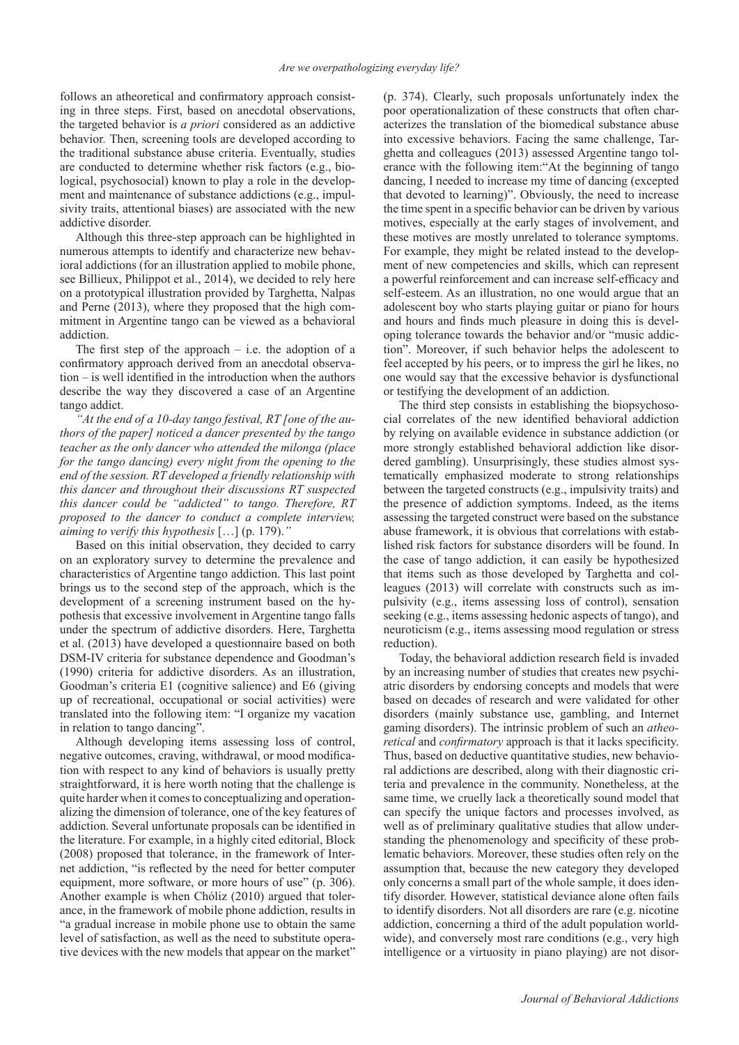follows an atheoretical and confirmatory approach consisting in three steps. First, based on anecdotal observations, the targeted behavior is *a priori* considered as an addictive behavior*.* Then, screening tools are developed according to the traditional substance abuse criteria. Eventually, studies are conducted to determine whether risk factors (e.g., biological, psychosocial) known to play a role in the development and maintenance of substance addictions (e.g., impulsivity traits, attentional biases) are associated with the new addictive disorder.

Although this three-step approach can be highlighted in numerous attempts to identify and characterize new behavioral addictions (for an illustration applied to mobile phone, see Billieux, Philippot et al., 2014), we decided to rely here on a prototypical illustration provided by Targhetta, Nalpas and Perne (2013), where they proposed that the high commitment in Argentine tango can be viewed as a behavioral addiction.

The first step of the approach  $-$  i.e. the adoption of a confirmatory approach derived from an anecdotal observa $tion - is well identified in the introduction when the authors$ describe the way they discovered a case of an Argentine tango addict.

*"At the end of a 10-day tango festival, RT [one of the authors of the paper] noticed a dancer presented by the tango teacher as the only dancer who attended the milonga (place for the tango dancing) every night from the opening to the end of the session. RT developed a friendly relationship with this dancer and throughout their discussions RT suspected this dancer could be "addicted" to tango. Therefore, RT proposed to the dancer to conduct a complete interview, aiming to verify this hypothesis* […] (p. 179).*"*

Based on this initial observation, they decided to carry on an exploratory survey to determine the prevalence and characteristics of Argentine tango addiction. This last point brings us to the second step of the approach, which is the development of a screening instrument based on the hypothesis that excessive involvement in Argentine tango falls under the spectrum of addictive disorders. Here, Targhetta et al. (2013) have developed a questionnaire based on both DSM-IV criteria for substance dependence and Goodman's (1990) criteria for addictive disorders. As an illustration, Goodman's criteria E1 (cognitive salience) and E6 (giving up of recreational, occupational or social activities) were translated into the following item: "I organize my vacation in relation to tango dancing".

Although developing items assessing loss of control, negative outcomes, craving, withdrawal, or mood modification with respect to any kind of behaviors is usually pretty straightforward, it is here worth noting that the challenge is quite harder when it comes to conceptualizing and operationalizing the dimension of tolerance, one of the key features of addiction. Several unfortunate proposals can be identified in the literature. For example, in a highly cited editorial, Block (2008) proposed that tolerance, in the framework of Internet addiction, "is reflected by the need for better computer equipment, more software, or more hours of use" (p. 306). Another example is when Chóliz (2010) argued that tolerance, in the framework of mobile phone addiction, results in "a gradual increase in mobile phone use to obtain the same level of satisfaction, as well as the need to substitute operative devices with the new models that appear on the market"

(p. 374). Clearly, such proposals unfortunately index the poor operationalization of these constructs that often characterizes the translation of the biomedical substance abuse into excessive behaviors. Facing the same challenge, Targhetta and colleagues (2013) assessed Argentine tango tolerance with the following item:"At the beginning of tango dancing, I needed to increase my time of dancing (excepted that devoted to learning)". Obviously, the need to increase the time spent in a specific behavior can be driven by various motives, especially at the early stages of involvement, and these motives are mostly unrelated to tolerance symptoms. For example, they might be related instead to the development of new competencies and skills, which can represent a powerful reinforcement and can increase self-efficacy and self-esteem. As an illustration, no one would argue that an adolescent boy who starts playing guitar or piano for hours and hours and finds much pleasure in doing this is developing tolerance towards the behavior and/or "music addiction". Moreover, if such behavior helps the adolescent to feel accepted by his peers, or to impress the girl he likes, no one would say that the excessive behavior is dysfunctional or testifying the development of an addiction.

The third step consists in establishing the biopsychosocial correlates of the new identified behavioral addiction by relying on available evidence in substance addiction (or more strongly established behavioral addiction like disordered gambling). Unsurprisingly, these studies almost systematically emphasized moderate to strong relationships between the targeted constructs (e.g., impulsivity traits) and the presence of addiction symptoms. Indeed, as the items assessing the targeted construct were based on the substance abuse framework, it is obvious that correlations with established risk factors for substance disorders will be found. In the case of tango addiction, it can easily be hypothesized that items such as those developed by Targhetta and colleagues (2013) will correlate with constructs such as impulsivity (e.g., items assessing loss of control), sensation seeking (e.g., items assessing hedonic aspects of tango), and neuroticism (e.g., items assessing mood regulation or stress reduction).

Today, the behavioral addiction research field is invaded by an increasing number of studies that creates new psychiatric disorders by endorsing concepts and models that were based on decades of research and were validated for other disorders (mainly substance use, gambling, and Internet gaming disorders). The intrinsic problem of such an *atheoretical* and *confirmatory* approach is that it lacks specificity. Thus, based on deductive quantitative studies, new behavioral addictions are described, along with their diagnostic criteria and prevalence in the community. Nonetheless, at the same time, we cruelly lack a theoretically sound model that can specify the unique factors and processes involved, as well as of preliminary qualitative studies that allow understanding the phenomenology and specificity of these problematic behaviors. Moreover, these studies often rely on the assumption that, because the new category they developed only concerns a small part of the whole sample, it does identify disorder. However, statistical deviance alone often fails to identify disorders. Not all disorders are rare (e.g. nicotine addiction, concerning a third of the adult population worldwide), and conversely most rare conditions (e.g., very high intelligence or a virtuosity in piano playing) are not disor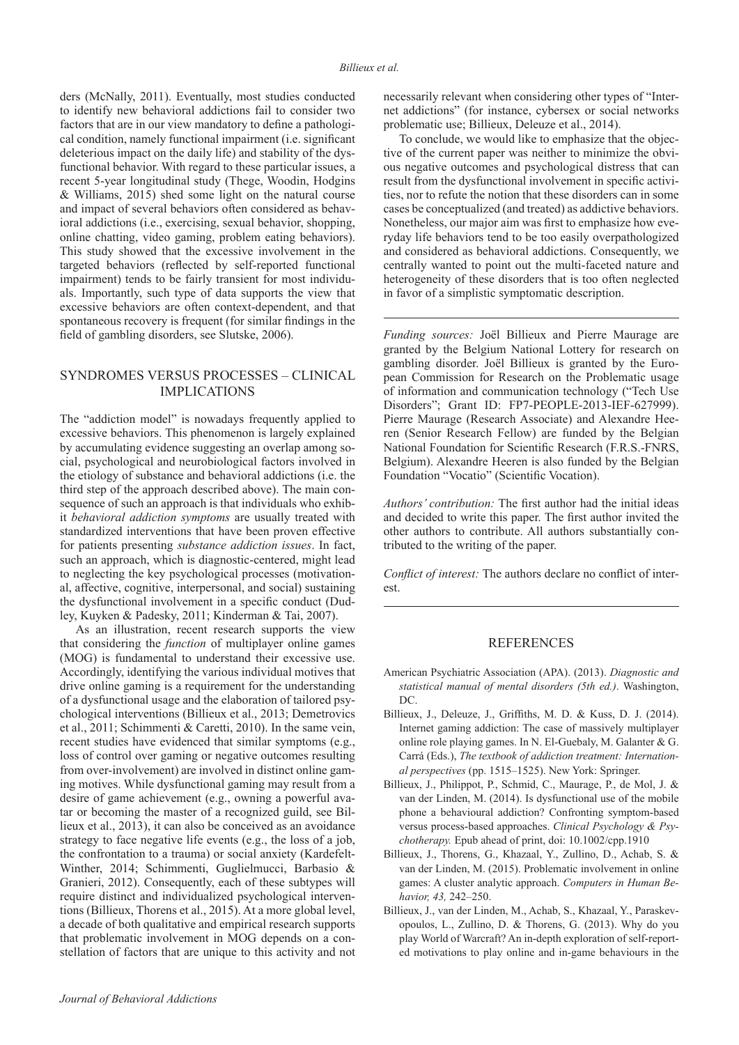ders (McNally, 2011). Eventually, most studies conducted to identify new behavioral addictions fail to consider two factors that are in our view mandatory to define a pathological condition, namely functional impairment (i.e. significant deleterious impact on the daily life) and stability of the dysfunctional behavior. With regard to these particular issues, a recent 5-year longitudinal study (Thege, Woodin, Hodgins & Williams, 2015) shed some light on the natural course and impact of several behaviors often considered as behavioral addictions (i.e., exercising, sexual behavior, shopping, online chatting, video gaming, problem eating behaviors). This study showed that the excessive involvement in the targeted behaviors (reflected by self-reported functional impairment) tends to be fairly transient for most individuals. Importantly, such type of data supports the view that excessive behaviors are often context-dependent, and that spontaneous recovery is frequent (for similar findings in the field of gambling disorders, see Slutske, 2006).

## SYNDROMES VERSUS PROCESSES – CLINICAL IMPLICATIONS

The "addiction model" is nowadays frequently applied to excessive behaviors. This phenomenon is largely explained by accumulating evidence suggesting an overlap among social, psychological and neurobiological factors involved in the etiology of substance and behavioral addictions (i.e. the third step of the approach described above). The main consequence of such an approach is that individuals who exhibit *behavioral addiction symptoms* are usually treated with standardized interventions that have been proven effective for patients presenting *substance addiction issues*. In fact, such an approach, which is diagnostic-centered, might lead to neglecting the key psychological processes (motivational, affective, cognitive, interpersonal, and social) sustaining the dysfunctional involvement in a specific conduct (Dudley, Kuyken & Padesky, 2011; Kinderman & Tai, 2007).

As an illustration, recent research supports the view that considering the *function* of multiplayer online games (MOG) is fundamental to understand their excessive use. Accordingly, identifying the various individual motives that drive online gaming is a requirement for the understanding of a dysfunctional usage and the elaboration of tailored psychological interventions (Billieux et al., 2013; Demetrovics et al., 2011; Schimmenti & Caretti, 2010). In the same vein, recent studies have evidenced that similar symptoms (e.g., loss of control over gaming or negative outcomes resulting from over-involvement) are involved in distinct online gaming motives. While dysfunctional gaming may result from a desire of game achievement (e.g., owning a powerful avatar or becoming the master of a recognized guild, see Billieux et al., 2013), it can also be conceived as an avoidance strategy to face negative life events (e.g., the loss of a job, the confrontation to a trauma) or social anxiety (Kardefelt-Winther, 2014; Schimmenti, Guglielmucci, Barbasio & Granieri, 2012). Consequently, each of these subtypes will require distinct and individualized psychological interventions (Billieux, Thorens et al., 2015). At a more global level, a decade of both qualitative and empirical research supports that problematic involvement in MOG depends on a constellation of factors that are unique to this activity and not necessarily relevant when considering other types of "Internet addictions" (for instance, cybersex or social networks problematic use; Billieux, Deleuze et al., 2014).

To conclude, we would like to emphasize that the objective of the current paper was neither to minimize the obvious negative outcomes and psychological distress that can result from the dysfunctional involvement in specific activities, nor to refute the notion that these disorders can in some cases be conceptualized (and treated) as addictive behaviors. Nonetheless, our major aim was first to emphasize how everyday life behaviors tend to be too easily overpathologized and considered as behavioral addictions. Consequently, we centrally wanted to point out the multi-faceted nature and heterogeneity of these disorders that is too often neglected in favor of a simplistic symptomatic description.

*Funding sources:* Joël Billieux and Pierre Maurage are granted by the Belgium National Lottery for research on gambling disorder. Joël Billieux is granted by the European Commission for Research on the Problematic usage of information and communication technology ("Tech Use Disorders"; Grant ID: FP7-PEOPLE-2013-IEF-627999). Pierre Maurage (Research Associate) and Alexandre Heeren (Senior Research Fellow) are funded by the Belgian National Foundation for Scientific Research (F.R.S.-FNRS, Belgium). Alexandre Heeren is also funded by the Belgian Foundation "Vocatio" (Scientific Vocation).

*Authors' contribution:* The first author had the initial ideas and decided to write this paper. The first author invited the other authors to contribute. All authors substantially contributed to the writing of the paper.

*Conflict of interest:* The authors declare no conflict of interest.

#### REFERENCES

- American Psychiatric Association (APA). (2013). *Diagnostic and statistical manual of mental disorders (5th ed.)*. Washington, DC.
- Billieux, J., Deleuze, J., Griffiths, M. D. & Kuss, D. J. (2014). Internet gaming addiction: The case of massively multiplayer online role playing games. In N. El-Guebaly, M. Galanter & G. Carrá (Eds.), *The textbook of addiction treatment: International perspectives* (pp. 1515–1525). New York: Springer.
- Billieux, J., Philippot, P., Schmid, C., Maurage, P., de Mol, J. & van der Linden, M. (2014). Is dysfunctional use of the mobile phone a behavioural addiction? Confronting symptom-based versus process-based approaches. *Clinical Psychology & Psychotherapy.* Epub ahead of print, doi: 10.1002/cpp.1910
- Billieux, J., Thorens, G., Khazaal, Y., Zullino, D., Achab, S. & van der Linden, M. (2015). Problematic involvement in online games: A cluster analytic approach. *Computers in Human Behavior, 43,* 242–250.
- Billieux, J., van der Linden, M., Achab, S., Khazaal, Y., Paraskevopoulos, L., Zullino, D. & Thorens, G. (2013). Why do you play World of Warcraft? An in-depth exploration of self-reported motivations to play online and in-game behaviours in the